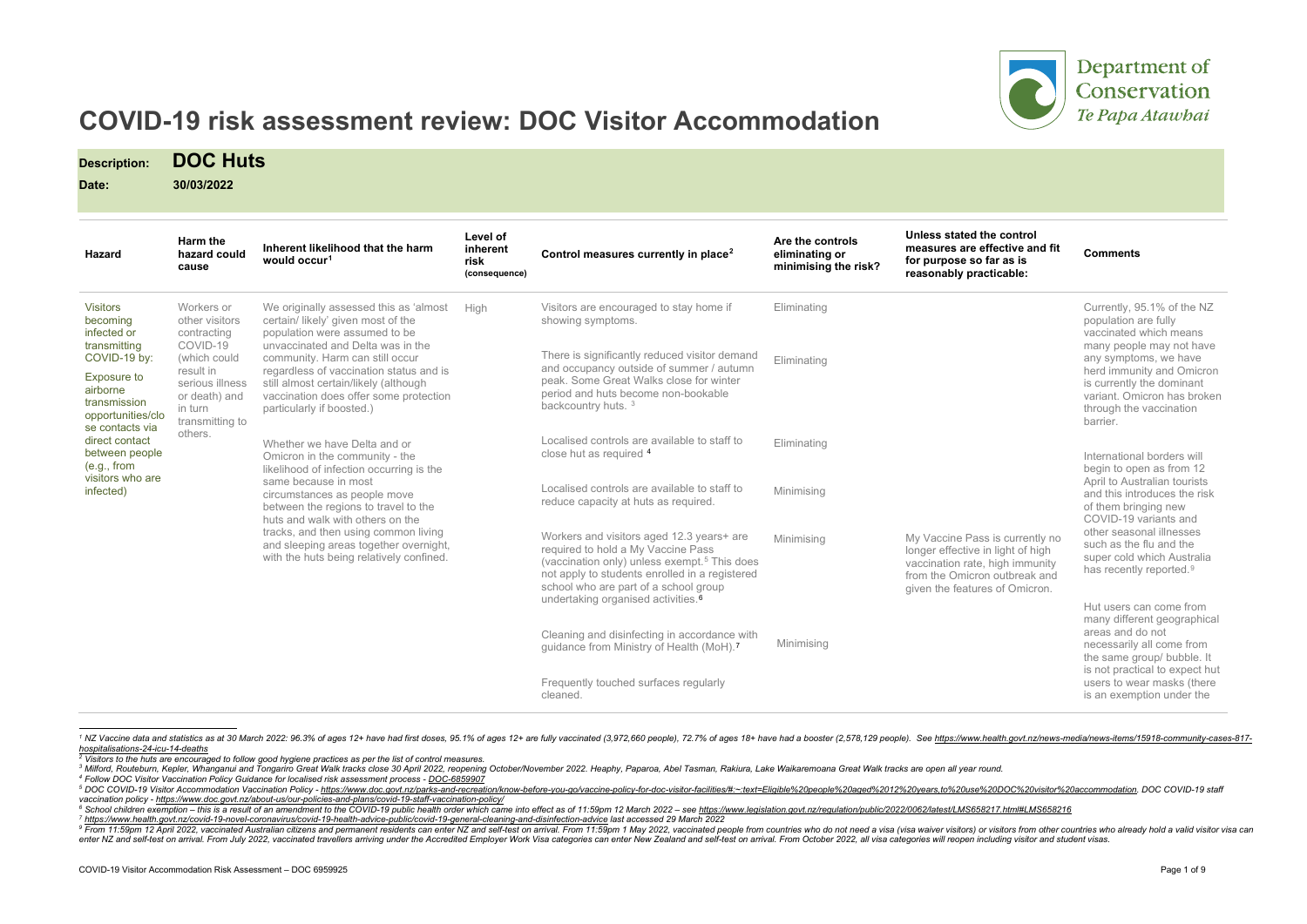<span id="page-0-7"></span><span id="page-0-6"></span><span id="page-0-5"></span><span id="page-0-4"></span><span id="page-0-3"></span><span id="page-0-2"></span><span id="page-0-1"></span><span id="page-0-0"></span>

## Department of Conservation Te Papa Atawhai

# **COVID-19 risk assessment review: DOC Visitor Accommodation**

**Description: DOC Huts**

**Date: 30/03/2022**

*[hospitalisations-24-icu-14-deaths](https://www.health.govt.nz/news-media/news-items/15918-community-cases-817-hospitalisations-24-icu-14-deaths) 2 Visitors to the huts are encouraged to follow good hygiene practices as per the list of control measures.*

| <b>Hazard</b>                                                                                                                                                                                                                                     | Harm the<br>hazard could<br>cause                                                                                                                                 | Inherent likelihood that the harm<br>would occur <sup>1</sup>                                                                                                                                                                                                                                                                                                                                                                                                                                                                                                                                                                                                                                                                    | Level of<br>inherent<br>risk<br>(consequence) | Control measures currently in place <sup>2</sup>                                                                                                                                                                                                                                         | Are the controls<br>eliminating or<br>minimising the risk? | Unless stated the control<br>measures are effective and fit<br>for purpose so far as is<br>reasonably practicable:                                                         | <b>Comments</b>                                                                                                                                                                                                                                                                                     |
|---------------------------------------------------------------------------------------------------------------------------------------------------------------------------------------------------------------------------------------------------|-------------------------------------------------------------------------------------------------------------------------------------------------------------------|----------------------------------------------------------------------------------------------------------------------------------------------------------------------------------------------------------------------------------------------------------------------------------------------------------------------------------------------------------------------------------------------------------------------------------------------------------------------------------------------------------------------------------------------------------------------------------------------------------------------------------------------------------------------------------------------------------------------------------|-----------------------------------------------|------------------------------------------------------------------------------------------------------------------------------------------------------------------------------------------------------------------------------------------------------------------------------------------|------------------------------------------------------------|----------------------------------------------------------------------------------------------------------------------------------------------------------------------------|-----------------------------------------------------------------------------------------------------------------------------------------------------------------------------------------------------------------------------------------------------------------------------------------------------|
| <b>Visitors</b><br>becoming<br>infected or<br>transmitting<br>COVID-19 by:<br>Exposure to<br>airborne<br>transmission<br>opportunities/clo<br>se contacts via<br>direct contact<br>between people<br>(e.g., from<br>visitors who are<br>infected) | Workers or<br>other visitors<br>contracting<br>COVID-19<br>(which could<br>result in<br>serious illness<br>or death) and<br>in turn<br>transmitting to<br>others. | We originally assessed this as 'almost<br>certain/ likely' given most of the<br>population were assumed to be<br>unvaccinated and Delta was in the<br>community. Harm can still occur<br>regardless of vaccination status and is<br>still almost certain/likely (although<br>vaccination does offer some protection<br>particularly if boosted.)<br>Whether we have Delta and or<br>Omicron in the community - the<br>likelihood of infection occurring is the<br>same because in most<br>circumstances as people move<br>between the regions to travel to the<br>huts and walk with others on the<br>tracks, and then using common living<br>and sleeping areas together overnight,<br>with the huts being relatively confined. | High                                          | Visitors are encouraged to stay home if<br>showing symptoms.<br>There is significantly reduced visitor demand<br>and occupancy outside of summer / autumn<br>peak. Some Great Walks close for winter<br>period and huts become non-bookable<br>backcountry huts. <sup>3</sup>            | Eliminating<br>Eliminating                                 | My Vaccine Pass is currently no<br>longer effective in light of high<br>vaccination rate, high immunity<br>from the Omicron outbreak and<br>given the features of Omicron. | Currently, 95.1% of the NZ<br>population are fully<br>vaccinated which means<br>many people may not have<br>any symptoms, we have<br>herd immunity and Omicron<br>is currently the dominant<br>variant. Omicron has broken<br>through the vaccination<br>barrier.                                   |
|                                                                                                                                                                                                                                                   |                                                                                                                                                                   |                                                                                                                                                                                                                                                                                                                                                                                                                                                                                                                                                                                                                                                                                                                                  |                                               | Localised controls are available to staff to<br>close hut as required 4<br>Localised controls are available to staff to<br>reduce capacity at huts as required.                                                                                                                          | Eliminating<br>Minimising                                  |                                                                                                                                                                            | International borders will<br>begin to open as from 12<br>April to Australian tourists<br>and this introduces the risk<br>of them bringing new<br>COVID-19 variants and<br>other seasonal illnesses<br>such as the flu and the<br>super cold which Australia<br>has recently reported. <sup>9</sup> |
|                                                                                                                                                                                                                                                   |                                                                                                                                                                   |                                                                                                                                                                                                                                                                                                                                                                                                                                                                                                                                                                                                                                                                                                                                  |                                               | Workers and visitors aged 12.3 years+ are<br>required to hold a My Vaccine Pass<br>(vaccination only) unless exempt. <sup>5</sup> This does<br>not apply to students enrolled in a registered<br>school who are part of a school group<br>undertaking organised activities. <sup>6</sup> | Minimising                                                 |                                                                                                                                                                            |                                                                                                                                                                                                                                                                                                     |
|                                                                                                                                                                                                                                                   |                                                                                                                                                                   |                                                                                                                                                                                                                                                                                                                                                                                                                                                                                                                                                                                                                                                                                                                                  |                                               | Cleaning and disinfecting in accordance with<br>guidance from Ministry of Health (MoH). <sup>7</sup><br>Frequently touched surfaces regularly<br>cleaned.                                                                                                                                | Minimising                                                 |                                                                                                                                                                            | Hut users can come from<br>many different geographical<br>areas and do not<br>necessarily all come from<br>the same group/ bubble. It<br>is not practical to expect hut<br>users to wear masks (there<br>is an exemption under the                                                                  |

<sup>1</sup> NZ Vaccine data and statistics as at 30 March 2022: 96.3% of ages 12+ have had first doses, 95.1% of ages 12+ are fully vaccinated (3,972,660 people), 72.7% of ages 18+ have had a booster (2,578,129 people). See https:

<sup>&</sup>lt;sup>3</sup> Milford, Routeburn, Kepler, Whanganui and Tongariro Great Walk tracks close 30 April 2022, reopening October/November 2022. Heaphy, Paparoa, Abel Tasman, Rakiura, Lake Waikaremoana Great Walk tracks are open all year r

<sup>5</sup> DOC COVID-19 Visitor Accommodation Vaccination Policy - https://www.doc.govt.nz/parks-and-recreation/know-before-you-go/vaccine-policy-for-doc-visitor-facilities/#:~:text=Eligible%20people%20aged%2012%20years.to%20use%20

<sup>6</sup> School children exemption – this is a result of an amendment to the COVID-19 public health order which came into effect as of 11:59pm 12 March 2022 – see https://www.legislation.govt.nz/regulation/public/2022/0062/latest

<sup>&</sup>lt;sup>9</sup> From 11:59pm 12 April 2022, vaccinated Australian citizens and permanent residents can enter NZ and self-test on arrival. From 11:59pm 1 May 2022, vaccinated people from countries who do not need a visa (visa waiver vi enter NZ and self-test on arrival. From July 2022, vaccinated travellers arriving under the Accredited Employer Work Visa categories can enter New Zealand and self-test on arrival. From October 2022, all visa categories wi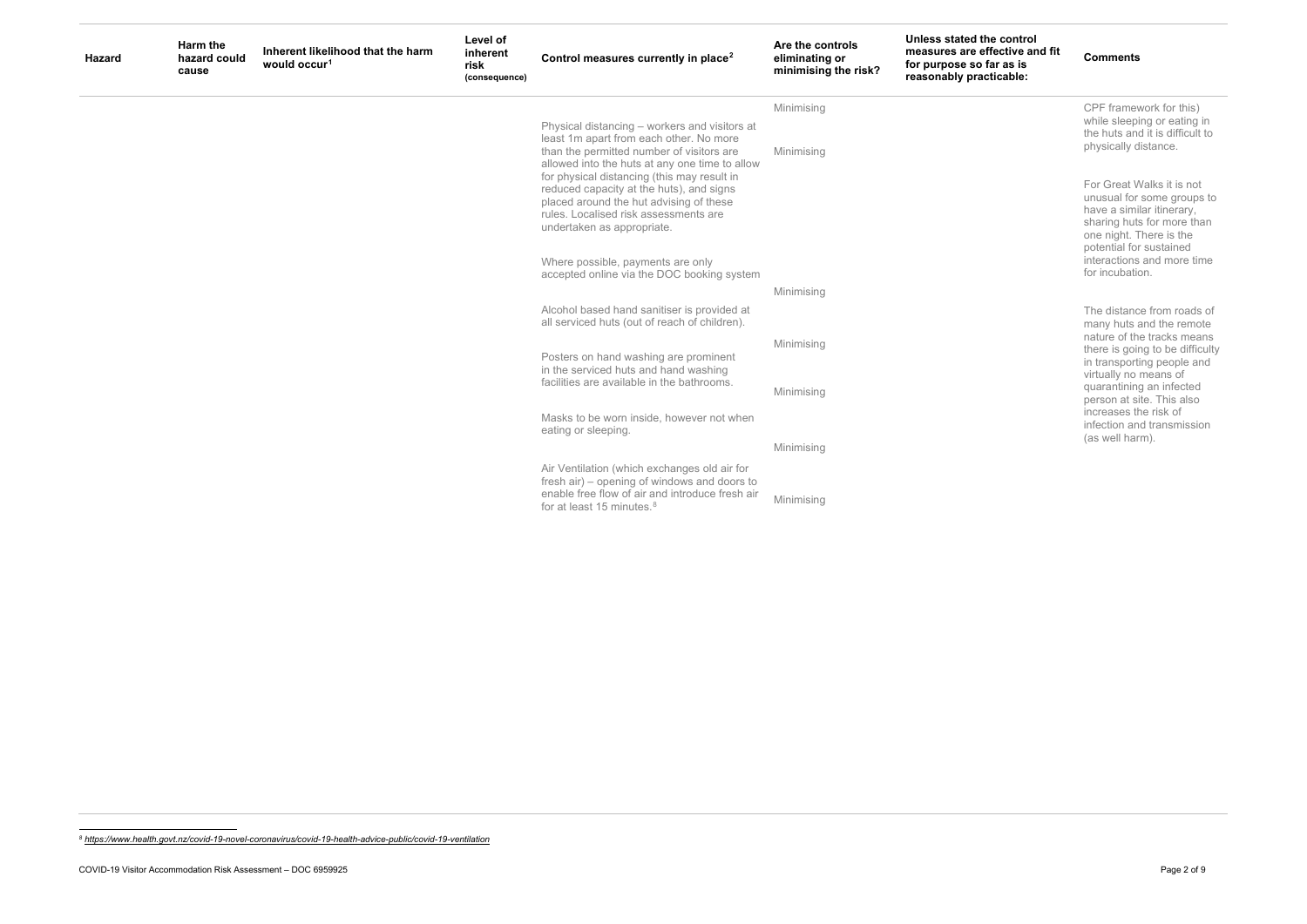## <span id="page-1-0"></span>**d** the control **e** effective and fit **so far as is reasonably practicable:**

## **Comments**

| <b>Hazard</b> | Harm the<br>hazard could<br>cause | Inherent likelihood that the harm<br>would occur <sup>1</sup> | Level of<br>inherent<br>risk<br>(consequence) | Control measures currently in place <sup>2</sup>                                                                                                                                                                                                                                                                                                                                                     | Are the controls<br>eliminating or<br>minimising the risk? | <b>Unless stated</b><br>measures are<br>for purpose s<br>reasonably p |
|---------------|-----------------------------------|---------------------------------------------------------------|-----------------------------------------------|------------------------------------------------------------------------------------------------------------------------------------------------------------------------------------------------------------------------------------------------------------------------------------------------------------------------------------------------------------------------------------------------------|------------------------------------------------------------|-----------------------------------------------------------------------|
|               |                                   |                                                               |                                               |                                                                                                                                                                                                                                                                                                                                                                                                      | Minimising                                                 |                                                                       |
|               |                                   |                                                               |                                               | Physical distancing - workers and visitors at<br>least 1m apart from each other. No more<br>than the permitted number of visitors are<br>allowed into the huts at any one time to allow<br>for physical distancing (this may result in<br>reduced capacity at the huts), and signs<br>placed around the hut advising of these<br>rules. Localised risk assessments are<br>undertaken as appropriate. | Minimising                                                 |                                                                       |
|               |                                   |                                                               |                                               | Where possible, payments are only<br>accepted online via the DOC booking system                                                                                                                                                                                                                                                                                                                      |                                                            |                                                                       |
|               |                                   |                                                               |                                               | Alcohol based hand sanitiser is provided at<br>all serviced huts (out of reach of children).                                                                                                                                                                                                                                                                                                         | Minimising                                                 |                                                                       |
|               |                                   |                                                               |                                               | Posters on hand washing are prominent                                                                                                                                                                                                                                                                                                                                                                | Minimising                                                 |                                                                       |
|               |                                   |                                                               |                                               | in the serviced huts and hand washing<br>facilities are available in the bathrooms.                                                                                                                                                                                                                                                                                                                  | Minimising                                                 |                                                                       |
|               |                                   |                                                               |                                               | Masks to be worn inside, however not when<br>eating or sleeping.                                                                                                                                                                                                                                                                                                                                     |                                                            |                                                                       |
|               |                                   |                                                               |                                               |                                                                                                                                                                                                                                                                                                                                                                                                      | Minimising                                                 |                                                                       |
|               |                                   |                                                               |                                               | Air Ventilation (which exchanges old air for<br>fresh air) – opening of windows and doors to<br>enable free flow of air and introduce fresh air<br>for at least 15 minutes. <sup>8</sup>                                                                                                                                                                                                             | Minimising                                                 |                                                                       |

CPF framework for this) while sleeping or eating in the huts and it is difficult to physically distance.

For Great Walks it is not unusual for some groups to have a similar itinerary, sharing huts for more than one night. There is the potential for sustained interactions and more time for incubation.

The distance from roads of many huts and the remote nature of the tracks means there is going to be difficulty in transporting people and virtually no means of quarantining an infected person at site. This also increases the risk of infection and transmission (as well harm).

*<sup>8</sup> <https://www.health.govt.nz/covid-19-novel-coronavirus/covid-19-health-advice-public/covid-19-ventilation>*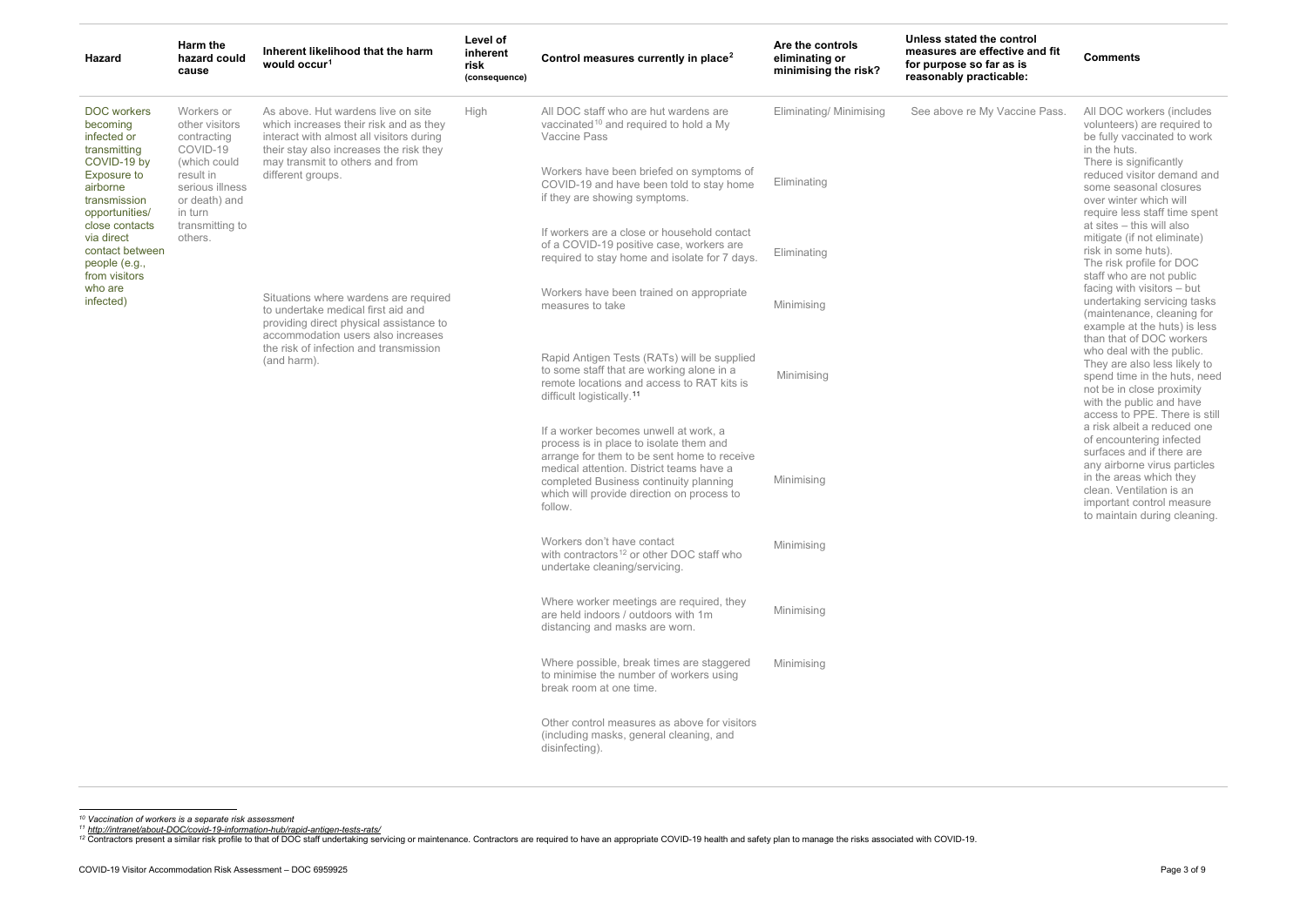*<sup>10</sup> Vaccination of workers is a separate risk assessment*

11 <u>http://intranet/about-DOC/covid-19-information-hub/rapid-antigen-tests-rats/</u><br>12 Contractors present a similar risk profile to that of DOC staff undertaking servicing or maintenance. Contractors are required to have an

<span id="page-2-2"></span><span id="page-2-1"></span><span id="page-2-0"></span>

| Hazard                                                                             | Harm the<br>hazard could<br>cause                                       | Inherent likelihood that the harm<br>would occur <sup>1</sup>                                                                                                                                                                                                                 | Level of<br>inherent<br>risk<br>(consequence) | Control measures currently in place <sup>2</sup>                                                                                                                                                                      | Are the controls<br>eliminating or<br>minimising the risk? | Unless stated the control<br>measures are effective and fit<br>for purpose so far as is<br>reasonably practicable: | <b>Comments</b>                                                                                                                                                                                                                                                                                                                                                                                                                                                                                                                                                                                                                                                                                                                                                                                                                                                                                                              |  |                                                       |  |                                                           |
|------------------------------------------------------------------------------------|-------------------------------------------------------------------------|-------------------------------------------------------------------------------------------------------------------------------------------------------------------------------------------------------------------------------------------------------------------------------|-----------------------------------------------|-----------------------------------------------------------------------------------------------------------------------------------------------------------------------------------------------------------------------|------------------------------------------------------------|--------------------------------------------------------------------------------------------------------------------|------------------------------------------------------------------------------------------------------------------------------------------------------------------------------------------------------------------------------------------------------------------------------------------------------------------------------------------------------------------------------------------------------------------------------------------------------------------------------------------------------------------------------------------------------------------------------------------------------------------------------------------------------------------------------------------------------------------------------------------------------------------------------------------------------------------------------------------------------------------------------------------------------------------------------|--|-------------------------------------------------------|--|-----------------------------------------------------------|
| <b>DOC</b> workers<br>becoming<br>infected or<br>transmitting<br>COVID-19 by       | Workers or<br>other visitors<br>contracting<br>COVID-19<br>(which could | As above. Hut wardens live on site<br>which increases their risk and as they<br>interact with almost all visitors during<br>their stay also increases the risk they                                                                                                           | High                                          | All DOC staff who are hut wardens are<br>vaccinated <sup>10</sup> and required to hold a My<br>Vaccine Pass                                                                                                           | Eliminating/ Minimising                                    | See above re My Vaccine Pass.                                                                                      | All DOC workers (includes<br>volunteers) are required to<br>be fully vaccinated to work<br>in the huts.<br>There is significantly<br>reduced visitor demand and<br>some seasonal closures<br>over winter which will<br>require less staff time spent<br>at sites - this will also<br>mitigate (if not eliminate)<br>risk in some huts).<br>The risk profile for DOC<br>staff who are not public<br>facing with visitors - but<br>undertaking servicing tasks<br>(maintenance, cleaning for<br>example at the huts) is less<br>than that of DOC workers<br>who deal with the public.<br>They are also less likely to<br>spend time in the huts, need<br>not be in close proximity<br>with the public and have<br>access to PPE. There is still<br>a risk albeit a reduced one<br>of encountering infected<br>surfaces and if there are<br>any airborne virus particles<br>in the areas which they<br>clean. Ventilation is an |  |                                                       |  |                                                           |
| <b>Exposure to</b><br>airborne<br>transmission<br>opportunities/<br>close contacts | result in<br>serious illness<br>or death) and<br>in turn                | may transmit to others and from<br>different groups.<br>Situations where wardens are required<br>to undertake medical first aid and<br>providing direct physical assistance to<br>accommodation users also increases<br>the risk of infection and transmission<br>(and harm). |                                               | Workers have been briefed on symptoms of<br>COVID-19 and have been told to stay home<br>if they are showing symptoms.                                                                                                 | Eliminating                                                |                                                                                                                    |                                                                                                                                                                                                                                                                                                                                                                                                                                                                                                                                                                                                                                                                                                                                                                                                                                                                                                                              |  |                                                       |  |                                                           |
| via direct<br>contact between<br>people (e.g.,<br>from visitors                    | transmitting to<br>others.                                              |                                                                                                                                                                                                                                                                               |                                               | If workers are a close or household contact<br>of a COVID-19 positive case, workers are<br>required to stay home and isolate for 7 days.                                                                              | Eliminating                                                |                                                                                                                    |                                                                                                                                                                                                                                                                                                                                                                                                                                                                                                                                                                                                                                                                                                                                                                                                                                                                                                                              |  |                                                       |  |                                                           |
| who are<br>infected)                                                               |                                                                         |                                                                                                                                                                                                                                                                               |                                               | Workers have been trained on appropriate<br>measures to take                                                                                                                                                          | Minimising                                                 |                                                                                                                    |                                                                                                                                                                                                                                                                                                                                                                                                                                                                                                                                                                                                                                                                                                                                                                                                                                                                                                                              |  |                                                       |  |                                                           |
|                                                                                    |                                                                         |                                                                                                                                                                                                                                                                               |                                               | Rapid Antigen Tests (RATs) will be supplied<br>to some staff that are working alone in a<br>remote locations and access to RAT kits is<br>difficult logistically. <sup>11</sup>                                       | Minimising                                                 |                                                                                                                    |                                                                                                                                                                                                                                                                                                                                                                                                                                                                                                                                                                                                                                                                                                                                                                                                                                                                                                                              |  |                                                       |  |                                                           |
|                                                                                    |                                                                         |                                                                                                                                                                                                                                                                               |                                               | If a worker becomes unwell at work, a<br>process is in place to isolate them and<br>arrange for them to be sent home to receive<br>medical attention. District teams have a<br>completed Business continuity planning | Minimising                                                 |                                                                                                                    |                                                                                                                                                                                                                                                                                                                                                                                                                                                                                                                                                                                                                                                                                                                                                                                                                                                                                                                              |  |                                                       |  |                                                           |
|                                                                                    |                                                                         |                                                                                                                                                                                                                                                                               |                                               |                                                                                                                                                                                                                       |                                                            |                                                                                                                    |                                                                                                                                                                                                                                                                                                                                                                                                                                                                                                                                                                                                                                                                                                                                                                                                                                                                                                                              |  | which will provide direction on process to<br>follow. |  | important control measure<br>to maintain during cleaning. |
|                                                                                    |                                                                         |                                                                                                                                                                                                                                                                               |                                               | Workers don't have contact<br>with contractors <sup>12</sup> or other DOC staff who<br>undertake cleaning/servicing.                                                                                                  | Minimising                                                 |                                                                                                                    |                                                                                                                                                                                                                                                                                                                                                                                                                                                                                                                                                                                                                                                                                                                                                                                                                                                                                                                              |  |                                                       |  |                                                           |
|                                                                                    |                                                                         |                                                                                                                                                                                                                                                                               |                                               | Where worker meetings are required, they<br>are held indoors / outdoors with 1m<br>distancing and masks are worn.                                                                                                     | Minimising                                                 |                                                                                                                    |                                                                                                                                                                                                                                                                                                                                                                                                                                                                                                                                                                                                                                                                                                                                                                                                                                                                                                                              |  |                                                       |  |                                                           |
|                                                                                    |                                                                         |                                                                                                                                                                                                                                                                               |                                               | Where possible, break times are staggered<br>to minimise the number of workers using<br>break room at one time.                                                                                                       | Minimising                                                 |                                                                                                                    |                                                                                                                                                                                                                                                                                                                                                                                                                                                                                                                                                                                                                                                                                                                                                                                                                                                                                                                              |  |                                                       |  |                                                           |
|                                                                                    |                                                                         |                                                                                                                                                                                                                                                                               |                                               | Other control measures as above for visitors<br>(including masks, general cleaning, and<br>disinfecting).                                                                                                             |                                                            |                                                                                                                    |                                                                                                                                                                                                                                                                                                                                                                                                                                                                                                                                                                                                                                                                                                                                                                                                                                                                                                                              |  |                                                       |  |                                                           |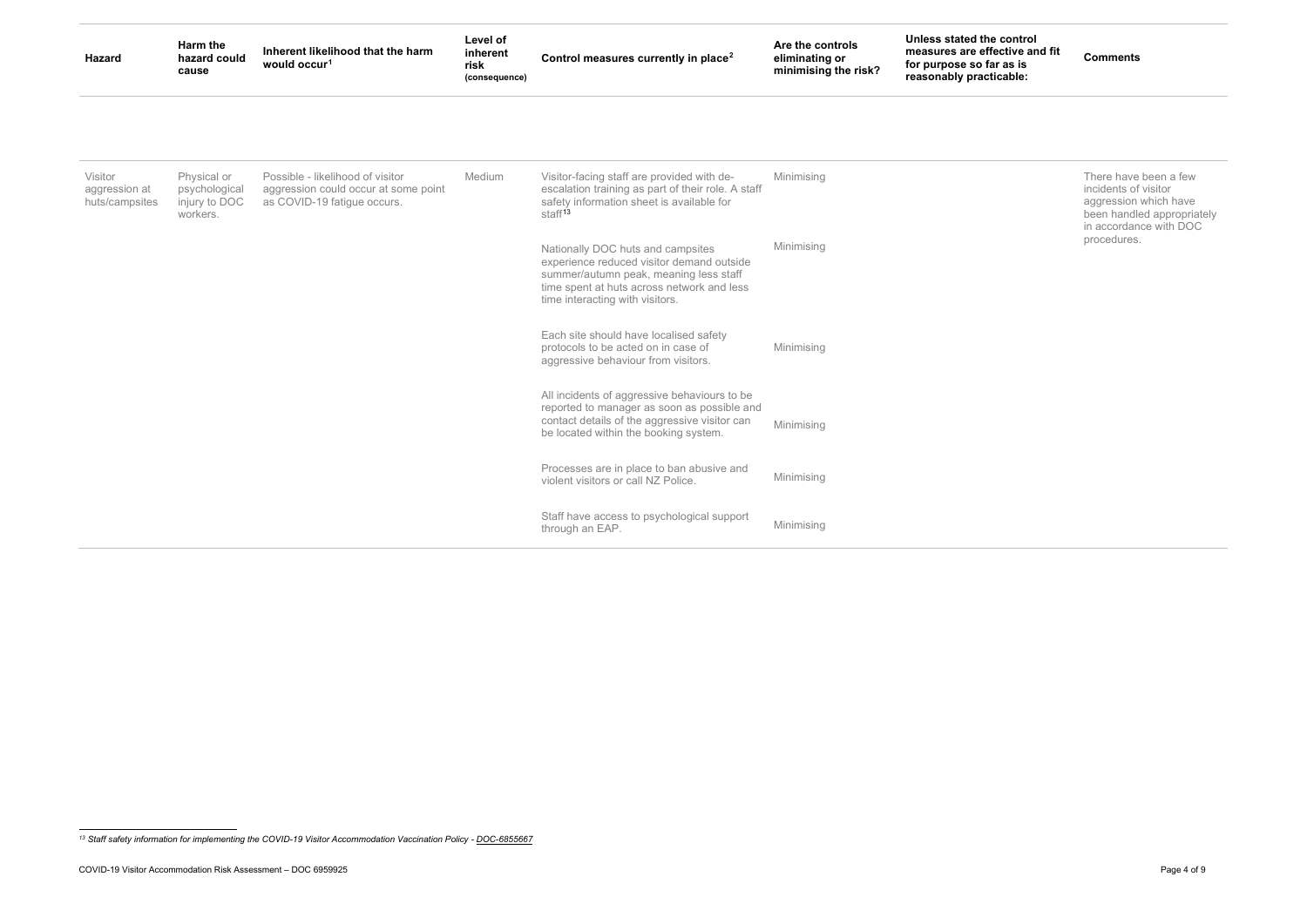<span id="page-3-0"></span>**Comments**

| Hazard                                     | Harm the<br>hazard could<br>cause                         | Inherent likelihood that the harm<br>would occur <sup>1</sup>                                           | Level of<br>inherent<br>risk<br>(consequence) | Control measures currently in place <sup>2</sup>                                                                                                                                                          | Are the controls<br>eliminating or<br>minimising the risk? | Unless stated the control<br>measures are effective and fit<br>for purpose so far as is<br>reasonably practicable: |
|--------------------------------------------|-----------------------------------------------------------|---------------------------------------------------------------------------------------------------------|-----------------------------------------------|-----------------------------------------------------------------------------------------------------------------------------------------------------------------------------------------------------------|------------------------------------------------------------|--------------------------------------------------------------------------------------------------------------------|
|                                            |                                                           |                                                                                                         |                                               |                                                                                                                                                                                                           |                                                            |                                                                                                                    |
| Visitor<br>aggression at<br>huts/campsites | Physical or<br>psychological<br>injury to DOC<br>workers. | Possible - likelihood of visitor<br>aggression could occur at some point<br>as COVID-19 fatigue occurs. | Medium                                        | Visitor-facing staff are provided with de-<br>escalation training as part of their role. A staff<br>safety information sheet is available for<br>staff <sup>13</sup>                                      | Minimising                                                 |                                                                                                                    |
|                                            |                                                           |                                                                                                         |                                               | Nationally DOC huts and campsites<br>experience reduced visitor demand outside<br>summer/autumn peak, meaning less staff<br>time spent at huts across network and less<br>time interacting with visitors. | Minimising                                                 |                                                                                                                    |
|                                            |                                                           |                                                                                                         |                                               | Each site should have localised safety<br>protocols to be acted on in case of<br>aggressive behaviour from visitors.                                                                                      | Minimising                                                 |                                                                                                                    |
|                                            |                                                           |                                                                                                         |                                               | All incidents of aggressive behaviours to be<br>reported to manager as soon as possible and<br>contact details of the aggressive visitor can<br>be located within the booking system.                     | Minimising                                                 |                                                                                                                    |
|                                            |                                                           |                                                                                                         |                                               | Processes are in place to ban abusive and<br>violent visitors or call NZ Police.                                                                                                                          | Minimising                                                 |                                                                                                                    |
|                                            |                                                           |                                                                                                         |                                               | Staff have access to psychological support<br>through an EAP.                                                                                                                                             | Minimising                                                 |                                                                                                                    |

There have been a few incidents of visitor aggression which have been handled appropriately in accordance with DOC procedures.

<sup>&</sup>lt;sup>13</sup> Staff safety information for implementing the COVID-19 Visitor Accommodation Vaccination Policy - DOC-6855667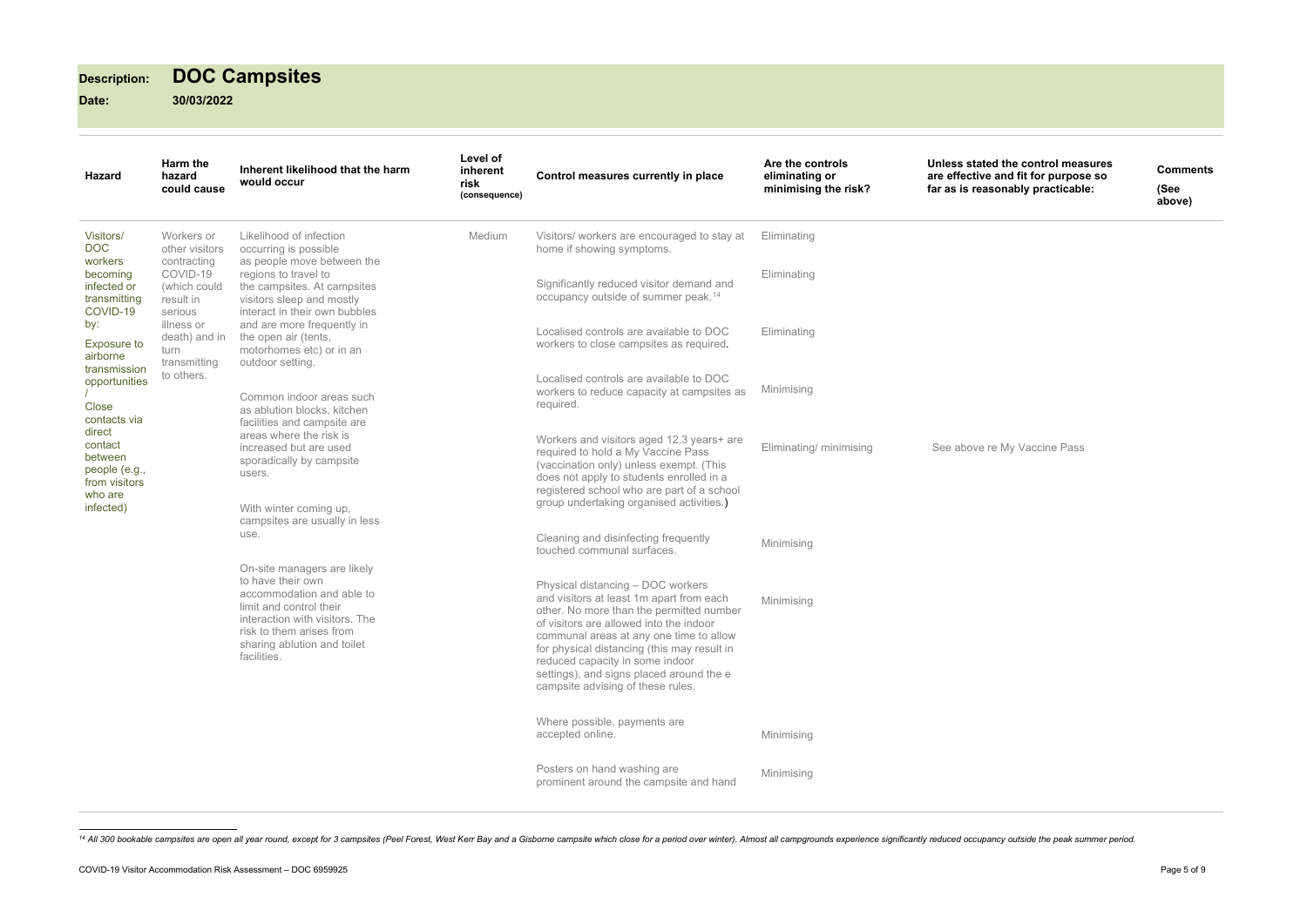# **Description: DOC Campsites**

| <b>Hazard</b>                                                                                                                                    | Harm the<br>hazard<br>could cause                       | Inherent likelihood that the harm<br>would occur                                                                                                                                                                     | Level of<br>inherent<br>risk<br>(consequence) | Control measures currently in place                                                                                                                                                                                                                              | Are the controls<br>eliminating or<br>minimising the risk?                                         | <b>Unless state</b><br>are effective<br>far as is rea                              |             |  |  |  |  |  |  |  |  |  |  |  |  |  |  |  |  |  |  |  |  |  |  |  |  |  |  |                                                                                                                                                                                                                                                                                                                                                                                    |            |
|--------------------------------------------------------------------------------------------------------------------------------------------------|---------------------------------------------------------|----------------------------------------------------------------------------------------------------------------------------------------------------------------------------------------------------------------------|-----------------------------------------------|------------------------------------------------------------------------------------------------------------------------------------------------------------------------------------------------------------------------------------------------------------------|----------------------------------------------------------------------------------------------------|------------------------------------------------------------------------------------|-------------|--|--|--|--|--|--|--|--|--|--|--|--|--|--|--|--|--|--|--|--|--|--|--|--|--|--|------------------------------------------------------------------------------------------------------------------------------------------------------------------------------------------------------------------------------------------------------------------------------------------------------------------------------------------------------------------------------------|------------|
| Visitors/<br><b>DOC</b><br>workers<br>becoming                                                                                                   | Workers or<br>other visitors<br>contracting<br>COVID-19 | Likelihood of infection<br>occurring is possible<br>as people move between the<br>regions to travel to                                                                                                               | Medium                                        | Visitors/ workers are encouraged to stay at<br>home if showing symptoms.                                                                                                                                                                                         | Eliminating<br>Eliminating                                                                         |                                                                                    |             |  |  |  |  |  |  |  |  |  |  |  |  |  |  |  |  |  |  |  |  |  |  |  |  |  |  |                                                                                                                                                                                                                                                                                                                                                                                    |            |
| infected or<br>transmitting<br>COVID-19                                                                                                          | (which could<br>result in<br>serious                    | the campsites. At campsites<br>visitors sleep and mostly<br>interact in their own bubbles                                                                                                                            |                                               | Significantly reduced visitor demand and<br>occupancy outside of summer peak. <sup>14</sup>                                                                                                                                                                      |                                                                                                    |                                                                                    |             |  |  |  |  |  |  |  |  |  |  |  |  |  |  |  |  |  |  |  |  |  |  |  |  |  |  |                                                                                                                                                                                                                                                                                                                                                                                    |            |
| by:<br>Exposure to<br>airborne                                                                                                                   | illness or<br>death) and in<br>turn<br>transmitting     | and are more frequently in<br>the open air (tents,<br>motorhomes etc) or in an<br>outdoor setting.                                                                                                                   |                                               |                                                                                                                                                                                                                                                                  |                                                                                                    | Localised controls are available to DOC<br>workers to close campsites as required. | Eliminating |  |  |  |  |  |  |  |  |  |  |  |  |  |  |  |  |  |  |  |  |  |  |  |  |  |  |                                                                                                                                                                                                                                                                                                                                                                                    |            |
| transmission<br>opportunities<br>Close<br>contacts via<br>direct<br>contact<br>between<br>people (e.g.,<br>from visitors<br>who are<br>infected) | to others.                                              | Common indoor areas such<br>as ablution blocks, kitchen                                                                                                                                                              |                                               |                                                                                                                                                                                                                                                                  | Localised controls are available to DOC<br>workers to reduce capacity at campsites as<br>required. | Minimising                                                                         |             |  |  |  |  |  |  |  |  |  |  |  |  |  |  |  |  |  |  |  |  |  |  |  |  |  |  |                                                                                                                                                                                                                                                                                                                                                                                    |            |
|                                                                                                                                                  |                                                         | facilities and campsite are<br>areas where the risk is<br>increased but are used<br>sporadically by campsite<br>users.<br>With winter coming up,<br>campsites are usually in less<br>use.                            |                                               | Workers and visitors aged 12.3 years+ are<br>required to hold a My Vaccine Pass<br>(vaccination only) unless exempt. (This<br>does not apply to students enrolled in a<br>registered school who are part of a school<br>group undertaking organised activities.) | Eliminating/ minimising                                                                            | See above                                                                          |             |  |  |  |  |  |  |  |  |  |  |  |  |  |  |  |  |  |  |  |  |  |  |  |  |  |  |                                                                                                                                                                                                                                                                                                                                                                                    |            |
|                                                                                                                                                  |                                                         |                                                                                                                                                                                                                      |                                               | Cleaning and disinfecting frequently<br>touched communal surfaces.                                                                                                                                                                                               | Minimising                                                                                         |                                                                                    |             |  |  |  |  |  |  |  |  |  |  |  |  |  |  |  |  |  |  |  |  |  |  |  |  |  |  |                                                                                                                                                                                                                                                                                                                                                                                    |            |
|                                                                                                                                                  |                                                         | On-site managers are likely<br>to have their own<br>accommodation and able to<br>limit and control their<br>interaction with visitors. The<br>risk to them arises from<br>sharing ablution and toilet<br>facilities. |                                               |                                                                                                                                                                                                                                                                  |                                                                                                    |                                                                                    |             |  |  |  |  |  |  |  |  |  |  |  |  |  |  |  |  |  |  |  |  |  |  |  |  |  |  | Physical distancing - DOC workers<br>and visitors at least 1m apart from each<br>other. No more than the permitted number<br>of visitors are allowed into the indoor<br>communal areas at any one time to allow<br>for physical distancing (this may result in<br>reduced capacity in some indoor<br>settings), and signs placed around the e<br>campsite advising of these rules. | Minimising |
|                                                                                                                                                  |                                                         |                                                                                                                                                                                                                      |                                               | Where possible, payments are<br>accepted online.                                                                                                                                                                                                                 | Minimising                                                                                         |                                                                                    |             |  |  |  |  |  |  |  |  |  |  |  |  |  |  |  |  |  |  |  |  |  |  |  |  |  |  |                                                                                                                                                                                                                                                                                                                                                                                    |            |
|                                                                                                                                                  |                                                         |                                                                                                                                                                                                                      |                                               | Posters on hand washing are<br>prominent around the campsite and hand                                                                                                                                                                                            | Minimising                                                                                         |                                                                                    |             |  |  |  |  |  |  |  |  |  |  |  |  |  |  |  |  |  |  |  |  |  |  |  |  |  |  |                                                                                                                                                                                                                                                                                                                                                                                    |            |

<sup>&</sup>lt;sup>14</sup> All 300 bookable campsites are open all year round, except for 3 campsites (Peel Forest, West Kerr Bay and a Gisborne campsite which close for a period over winter). Almost all campgrounds experience significantly red

<span id="page-4-0"></span>**Unless stated the control measures are effective and fit for purpose so far as is reasonably practicable:**

**Comments (See above)**

re My Vaccine Pass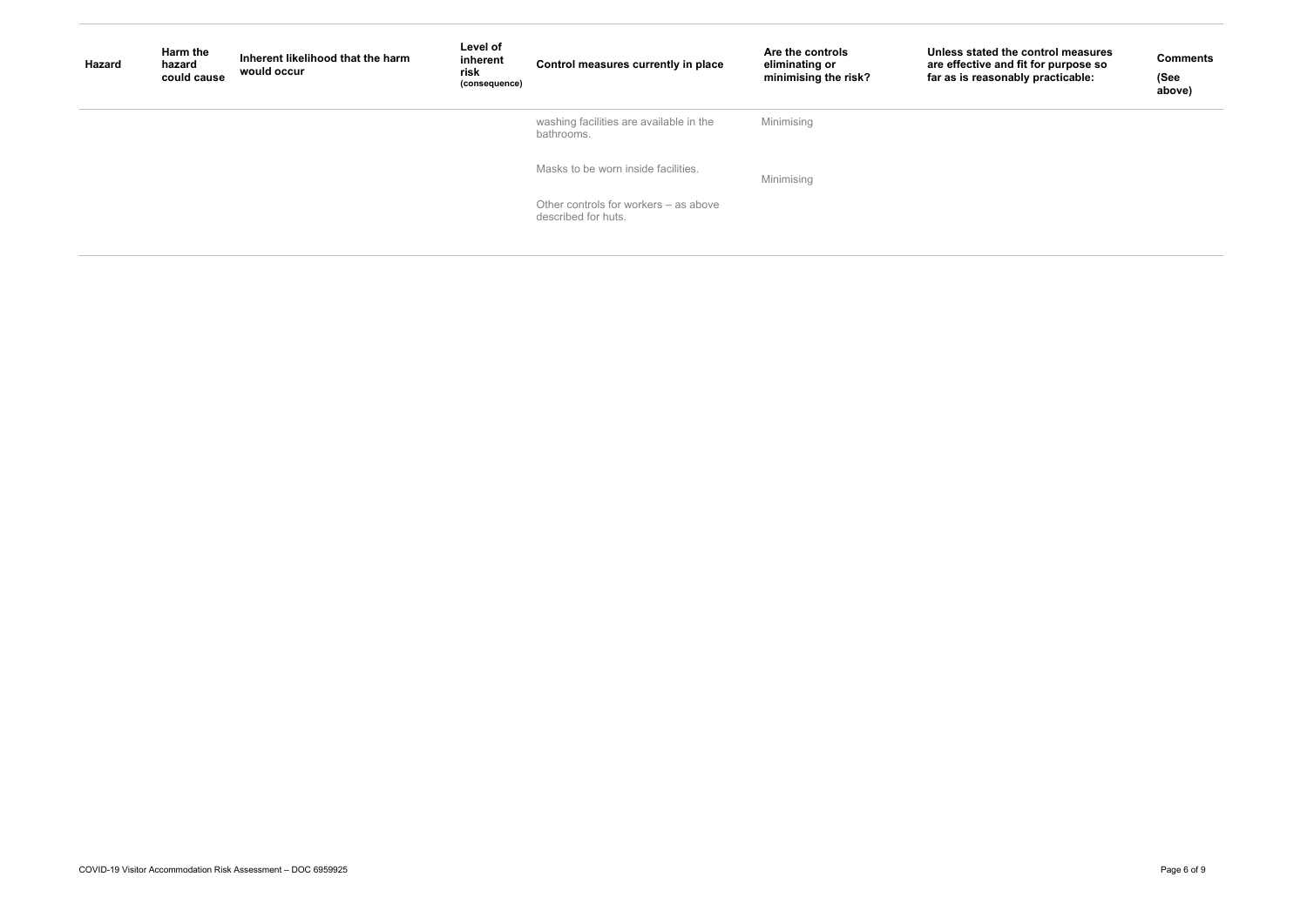| <b>Hazard</b> | Harm the<br>hazard<br>could cause | Inherent likelihood that the harm<br>would occur | Level of<br>inherent<br>risk<br>(consequence) | Control measures currently in place                          | Are the controls<br>eliminating or<br>minimising the risk? | Unless state<br>are effective<br>far as is reas |
|---------------|-----------------------------------|--------------------------------------------------|-----------------------------------------------|--------------------------------------------------------------|------------------------------------------------------------|-------------------------------------------------|
|               |                                   |                                                  |                                               | washing facilities are available in the<br>bathrooms.        | Minimising                                                 |                                                 |
|               |                                   |                                                  |                                               | Masks to be worn inside facilities.                          | Minimising                                                 |                                                 |
|               |                                   |                                                  |                                               | Other controls for workers – as above<br>described for huts. |                                                            |                                                 |

### **Unless stated the control measures are effective and fit for purpose so far as is reasonably practicable:**

**Comments**

**(See above)**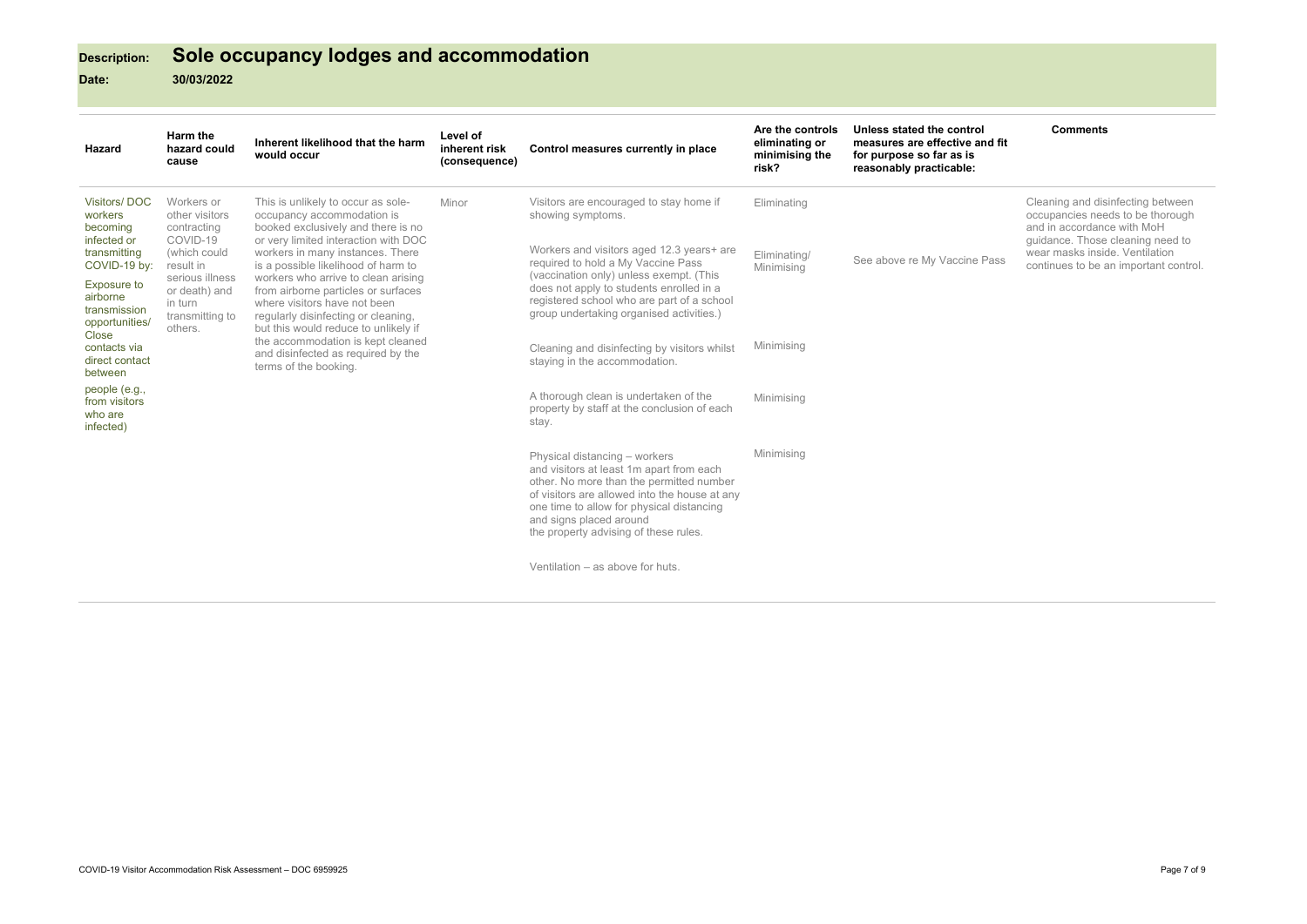# **Description: Sole occupancy lodges and accommodation**

## **Date: 30/03/2022**

| <b>Hazard</b>                                                             | Harm the<br>hazard could<br>cause                                         | Inherent likelihood that the harm<br>would occur                                                                                                                                          | Level of<br>inherent risk<br>(consequence) | Control measures currently in place                                                                                                                                                                                                                                                     | Are the controls<br>eliminating or<br>minimising the<br>risk? | Unless stated the control<br>measures are effective and fit<br>for purpose so far as is<br>reasonably practicable: | <b>Comments</b>                                                                                                                         |
|---------------------------------------------------------------------------|---------------------------------------------------------------------------|-------------------------------------------------------------------------------------------------------------------------------------------------------------------------------------------|--------------------------------------------|-----------------------------------------------------------------------------------------------------------------------------------------------------------------------------------------------------------------------------------------------------------------------------------------|---------------------------------------------------------------|--------------------------------------------------------------------------------------------------------------------|-----------------------------------------------------------------------------------------------------------------------------------------|
| <b>Visitors/DOC</b><br>workers<br>becoming<br>infected or                 | Workers or<br>other visitors<br>contracting<br>COVID-19                   | This is unlikely to occur as sole-<br>occupancy accommodation is<br>booked exclusively and there is no<br>or very limited interaction with DOC                                            | Minor                                      | Visitors are encouraged to stay home if<br>showing symptoms.                                                                                                                                                                                                                            | Eliminating                                                   |                                                                                                                    | Cleaning and disinfecting between<br>occupancies needs to be thorough<br>and in accordance with MoH<br>guidance. Those cleaning need to |
| transmitting<br>COVID-19 by:                                              | (which could<br>result in                                                 | workers in many instances. There<br>is a possible likelihood of harm to                                                                                                                   |                                            | Workers and visitors aged 12.3 years+ are<br>required to hold a My Vaccine Pass<br>(vaccination only) unless exempt. (This<br>does not apply to students enrolled in a<br>registered school who are part of a school<br>group undertaking organised activities.)                        | Eliminating/<br>Minimising                                    | See above re My Vaccine Pass                                                                                       | wear masks inside. Ventilation<br>continues to be an important control.                                                                 |
| <b>Exposure to</b><br>airborne<br>transmission<br>opportunities/<br>Close | serious illness<br>or death) and<br>in turn<br>transmitting to<br>others. | workers who arrive to clean arising<br>from airborne particles or surfaces<br>where visitors have not been<br>regularly disinfecting or cleaning,<br>but this would reduce to unlikely if |                                            |                                                                                                                                                                                                                                                                                         |                                                               |                                                                                                                    |                                                                                                                                         |
| contacts via<br>direct contact<br>between                                 |                                                                           | the accommodation is kept cleaned<br>and disinfected as required by the<br>terms of the booking.                                                                                          |                                            | Cleaning and disinfecting by visitors whilst<br>staying in the accommodation.                                                                                                                                                                                                           | Minimising                                                    |                                                                                                                    |                                                                                                                                         |
| people (e.g.,<br>from visitors<br>who are<br>infected)                    |                                                                           |                                                                                                                                                                                           |                                            | A thorough clean is undertaken of the<br>property by staff at the conclusion of each<br>stay.                                                                                                                                                                                           | Minimising                                                    |                                                                                                                    |                                                                                                                                         |
|                                                                           |                                                                           |                                                                                                                                                                                           |                                            | Physical distancing - workers<br>and visitors at least 1m apart from each<br>other. No more than the permitted number<br>of visitors are allowed into the house at any<br>one time to allow for physical distancing<br>and signs placed around<br>the property advising of these rules. | Minimising                                                    |                                                                                                                    |                                                                                                                                         |
|                                                                           |                                                                           |                                                                                                                                                                                           |                                            | Ventilation – as above for huts.                                                                                                                                                                                                                                                        |                                                               |                                                                                                                    |                                                                                                                                         |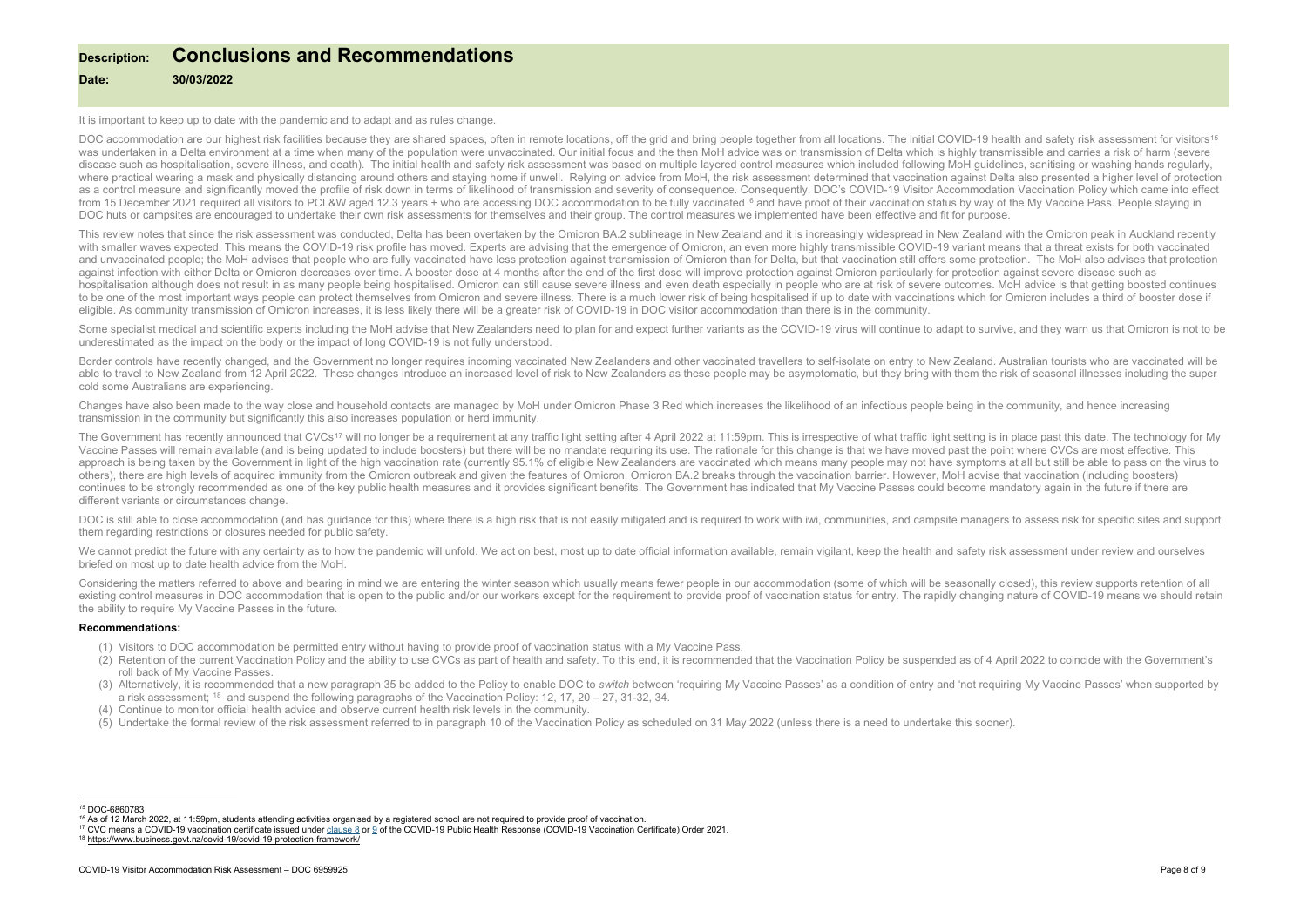## <span id="page-7-3"></span><span id="page-7-2"></span><span id="page-7-1"></span><span id="page-7-0"></span>**Description: Conclusions and Recommendations**

## **Date: 30/03/2022**

It is important to keep up to date with the pandemic and to adapt and as rules change.

DOC accommodation are our highest risk facilities because they are shared spaces, often in remote locations, off the grid and bring people together from all locations. The initial COVID-19 health and safety risk assessment was undertaken in a Delta environment at a time when many of the population were unvaccinated. Our initial focus and the then MoH advice was on transmission of Delta which is highly transmissible and carries a risk of harm disease such as hospitalisation, severe illness, and death). The initial health and safety risk assessment was based on multiple layered control measures which included following MoH quidelines, sanitising or washing hands where practical wearing a mask and physically distancing around others and staying home if unwell. Relying on advice from MoH, the risk assessment determined that vaccination against Delta also presented a higher level of as a control measure and significantly moved the profile of risk down in terms of likelihood of transmission and severity of consequence. Consequently, DOC's COVID-19 Visitor Accommodation Vaccination Policy which came int from 15 December 2021 required all visitors to PCL&W aged 12.3 years + who are accessing DOC accommodation to be fully vaccinated<sup>[16](#page-7-1)</sup> and have proof of their vaccination status by way of the My Vaccine Pass. People staying DOC huts or campsites are encouraged to undertake their own risk assessments for themselves and their group. The control measures we implemented have been effective and fit for purpose.

This review notes that since the risk assessment was conducted, Delta has been overtaken by the Omicron BA.2 sublineage in New Zealand and it is increasingly widespread in New Zealand with the Omicron peak in Auckland rece with smaller waves expected. This means the COVID-19 risk profile has moved. Experts are advising that the emergence of Omicron, an even more highly transmissible COVID-19 variant means that a threat exists for both vaccin and unvaccinated people: the MoH advises that people who are fully vaccinated have less protection against transmission of Omicron than for Delta, but that vaccination still offers some protection. The MoH also advises tha against infection with either Delta or Omicron decreases over time. A booster dose at 4 months after the end of the first dose will improve protection against Omicron particularly for protection against severe disease such hospitalisation although does not result in as many people being hospitalised. Omicron can still cause severe illness and even death especially in people who are at risk of severe outcomes. MoH advice is that getting boost to be one of the most important ways people can protect themselves from Omicron and severe illness. There is a much lower risk of being hospitalised if up to date with vaccinations which for Omicron includes a third of boo eligible. As community transmission of Omicron increases, it is less likely there will be a greater risk of COVID-19 in DOC visitor accommodation than there is in the community.

Some specialist medical and scientific experts including the MoH advise that New Zealanders need to plan for and expect further variants as the COVID-19 virus will continue to adapt to survive, and they warn us that Omicro underestimated as the impact on the body or the impact of long COVID-19 is not fully understood.

Border controls have recently changed, and the Government no longer requires incoming vaccinated New Zealanders and other vaccinated travellers to self-isolate on entry to New Zealand. Australian tourists who are vaccinate able to travel to New Zealand from 12 April 2022. These changes introduce an increased level of risk to New Zealanders as these people may be asymptomatic, but they bring with them the risk of seasonal illnesses including cold some Australians are experiencing.

Changes have also been made to the way close and household contacts are managed by MoH under Omicron Phase 3 Red which increases the likelihood of an infectious people being in the community, and hence increasing transmission in the community but significantly this also increases population or herd immunity.

The Government has recently announced that CVCs<sup>[17](#page-7-2)</sup> will no longer be a requirement at any traffic light setting after 4 April 2022 at 11:59pm. This is irrespective of what traffic light setting is in place past this date. Vaccine Passes will remain available (and is being updated to include boosters) but there will be no mandate requiring its use. The rationale for this change is that we have moved past the point where CVCs are most effecti approach is being taken by the Government in light of the high vaccination rate (currently 95.1% of eligible New Zealanders are vaccinated which means many people may not have symptoms at all but still be able to pass on t others), there are high levels of acquired immunity from the Omicron outbreak and given the features of Omicron. Omicron BA.2 breaks through the vaccination barrier. However, MoH advise that vaccination (including boosters) continues to be strongly recommended as one of the key public health measures and it provides significant benefits. The Government has indicated that My Vaccine Passes could become mandatory again in the future if there ar different variants or circumstances change.

DOC is still able to close accommodation (and has guidance for this) where there is a high risk that is not easily mitigated and is required to work with iwi, communities, and campsite managers to assess risk for specific them regarding restrictions or closures needed for public safety.

We cannot predict the future with any certainty as to how the pandemic will unfold. We act on best, most up to date official information available, remain vigilant, keep the health and safety risk assessment under review a briefed on most up to date health advice from the MoH.

Considering the matters referred to above and bearing in mind we are entering the winter season which usually means fewer people in our accommodation (some of which will be seasonally closed), this review supports retentio existing control measures in DOC accommodation that is open to the public and/or our workers except for the requirement to provide proof of vaccination status for entry. The rapidly changing nature of COVID-19 means we sho the ability to require My Vaccine Passes in the future.

### **Recommendations:**

- (1) Visitors to DOC accommodation be permitted entry without having to provide proof of vaccination status with a My Vaccine Pass.
- (2) Retention of the current Vaccination Policy and the ability to use CVCs as part of health and safety. To this end, it is recommended that the Vaccination Policy be suspended as of 4 April 2022 to coincide with the Gove roll back of My Vaccine Passes.
- (3) Alternatively, it is recommended that a new paragraph 35 be added to the Policy to enable DOC to switch between 'requiring My Vaccine Passes' as a condition of entry and 'not requiring My Vaccine Passes' when supported a risk assessment; <sup>[18](#page-7-3)</sup> and suspend the following paragraphs of the Vaccination Policy: 12, 17, 20 – 27, 31-32, 34.
- (4) Continue to monitor official health advice and observe current health risk levels in the community.
- (5) Undertake the formal review of the risk assessment referred to in paragraph 10 of the Vaccination Policy as scheduled on 31 May 2022 (unless there is a need to undertake this sooner).

<sup>&</sup>lt;sup>15</sup> DOC-6860783<br><sup>16</sup> As of 12 March 2022, at 11:59pm, students attending activities organised by a registered school are not reguired to provide proof of vaccination.

<sup>&</sup>lt;sup>17</sup> CVC means a COVID-19 vaccinati[o](https://www.legislation.govt.nz/regulation/public/2021/0386/latest/link.aspx?id=LMS607061#LMS607061)n certificate issued under clause 8 or 9 of the COVID-19 Public Health Response (COVID-19 Vaccination Certificate) Order 2021.<br><sup>18</sup> https://www.business.govt.nz/covid-19/covid-19-protect